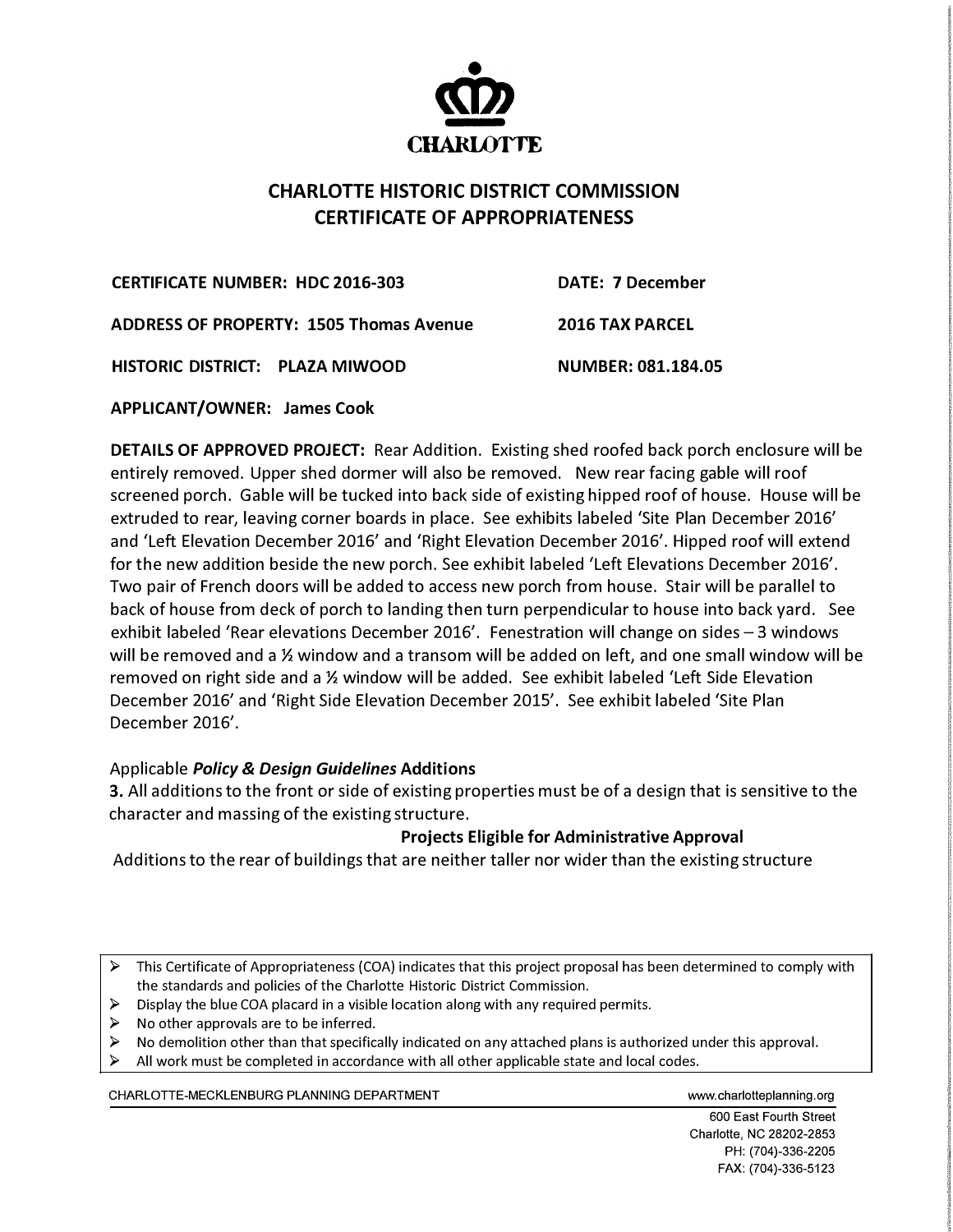

## **CHARLOTIE HISTORIC DISTRICT COMMISSION CERTIFICATE OF APPROPRIATENESS**

**CERTIFICATE NUMBER: HDC 2016-303** 

**DATE: 7 December** 

**ADDRESS OF PROPERTY: 1505 Thomas Avenue** 

**2016 TAX PARCEL** 

**HISTORIC DISTRICT: PLAZA MIWOOD** 

**NUMBER: 081.184.05**

**APPLICANT/OWNER: James Cook** 

**DETAILS OF APPROVED PROJECT:** Rear Addition. Existing shed roofed back porch enclosure will be entirely removed. Upper shed dormer will also be removed. New rear facing gable will roof screened porch. Gable will be tucked into back side of existing hipped roof of house. House will be extruded to rear, leaving corner boards in place. See exhibits labeled 'Site Plan December 2016' and 'Left Elevation December 2016' and 'Right Elevation December 2016'. Hipped roof will extend for the new addition beside the new porch. See exhibit labeled 'Left Elevations December 2016'. Two pair of French doors will be added to access new porch from house. Stair will be parallel to back of house from deck of porch to landing then turn perpendicular to house into back yard. See exhibit labeled 'Rear elevations December 2016'. Fenestration will change on sides  $-3$  windows will be removed and a ½ window and a transom will be added on left, and one small window will be removed on right side and a ½ window will be added. See exhibit labeled 'Left Side Elevation December 2016' and 'Right Side Elevation December 2015'. See exhibit labeled 'Site Plan December 2016'.

## Applicable *Policy* & *Design Guidelines* **Additions**

3. All additions to the front or side of existing properties must be of a design that is sensitive to the character and massing of the existing structure.

## **Projects Eligible for Administrative Approval**

Additions to the rear of buildings that are neither taller nor wider than the existing structure

> This Certificate of Appropriateness (COA) indicates that this project proposal has been determined to comply with the standards and policies of the Charlotte Historic District Commission.

- $\triangleright$  Display the blue COA placard in a visible location along with any required permits.
- $\triangleright$  No other approvals are to be inferred.
- $\triangleright$  No demolition other than that specifically indicated on any attached plans is authorized under this approval.<br> $\triangleright$  All work must be completed in accordance with all other applicable state and local codes.
- All work must be completed in accordance with all other applicable state and local codes.

CHARLOTTE-MECKLENBURG PLANNING DEPARTMENT WWW.charlotteplanning.org

600 East Fourth Street Charlotte, NC 28202-2853 PH: (704)-336-2205 FAX: (704)-336-5123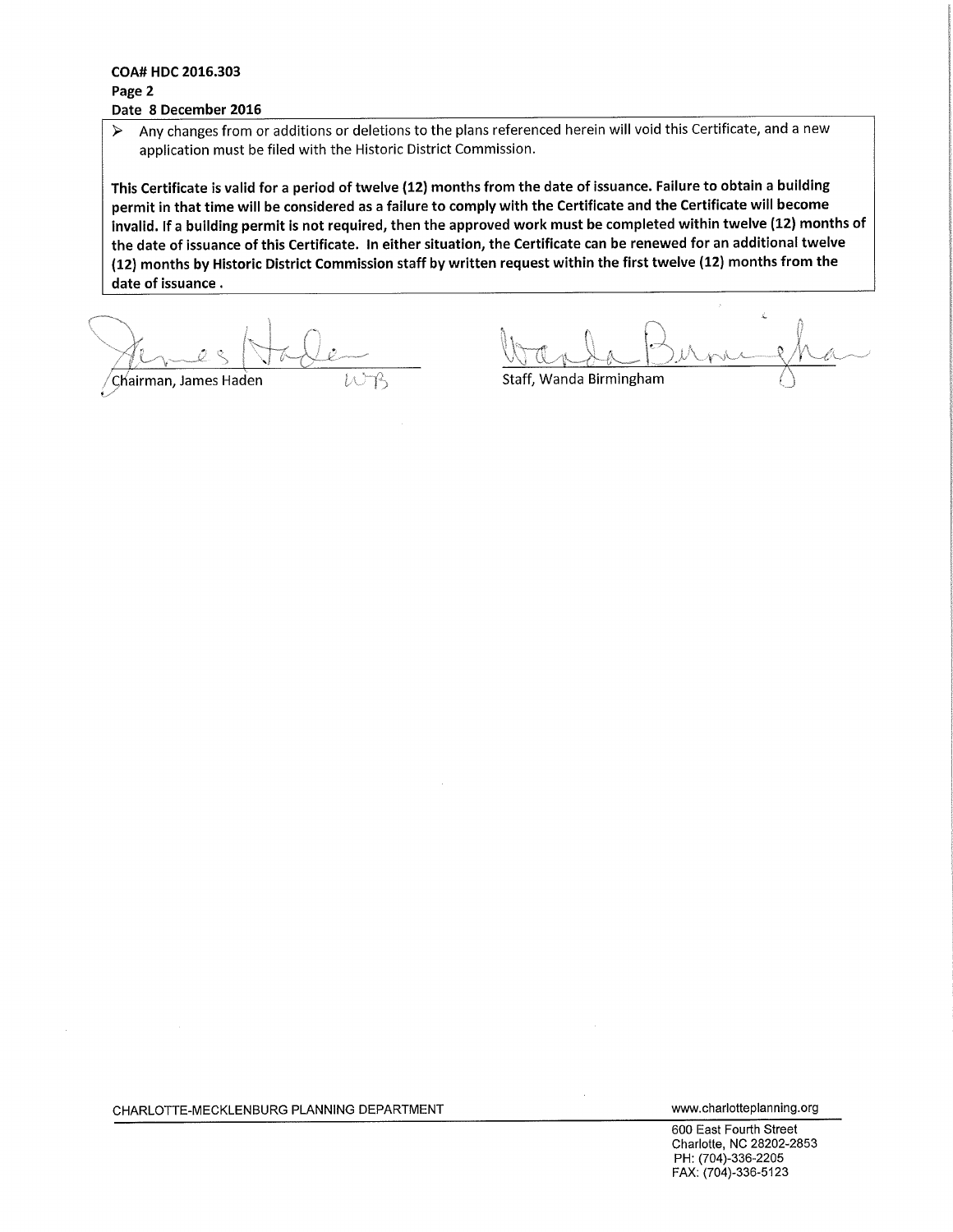## COA# HDC 2016.303 Page 2 Date 8 December 2016

Any changes from or additions or deletions to the plans referenced herein will void this Certificate, and a new  $\blacktriangleright$ application must be filed with the Historic District Commission.

This Certificate is valid for a period of twelve (12) months from the date of issuance. Failure to obtain a building permit in that time will be considered as a failure to comply with the Certificate and the Certificate will become invalid. If a building permit is not required, then the approved work must be completed within twelve (12) months of the date of issuance of this Certificate. In either situation, the Certificate can be renewed for an additional twelve (12) months by Historic District Commission staff by written request within the first twelve (12) months from the date of issuance.

'Chairman, James Haden

Staff, Wanda Birmingham

CHARLOTTE-MECKLENBURG PLANNING DEPARTMENT

www.charlotteplanning.org

600 East Fourth Street Charlotte, NC 28202-2853 PH: (704)-336-2205 FAX: (704)-336-5123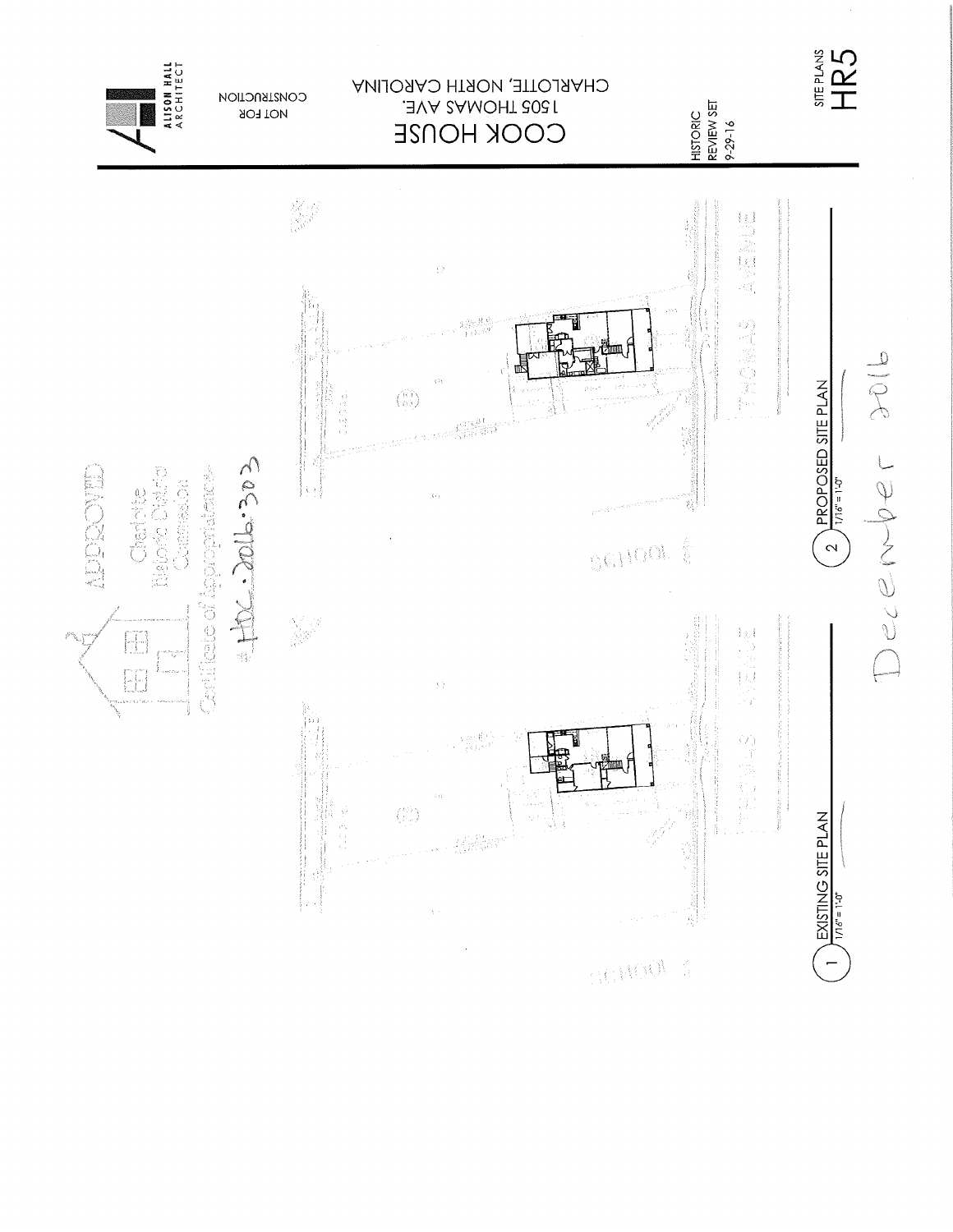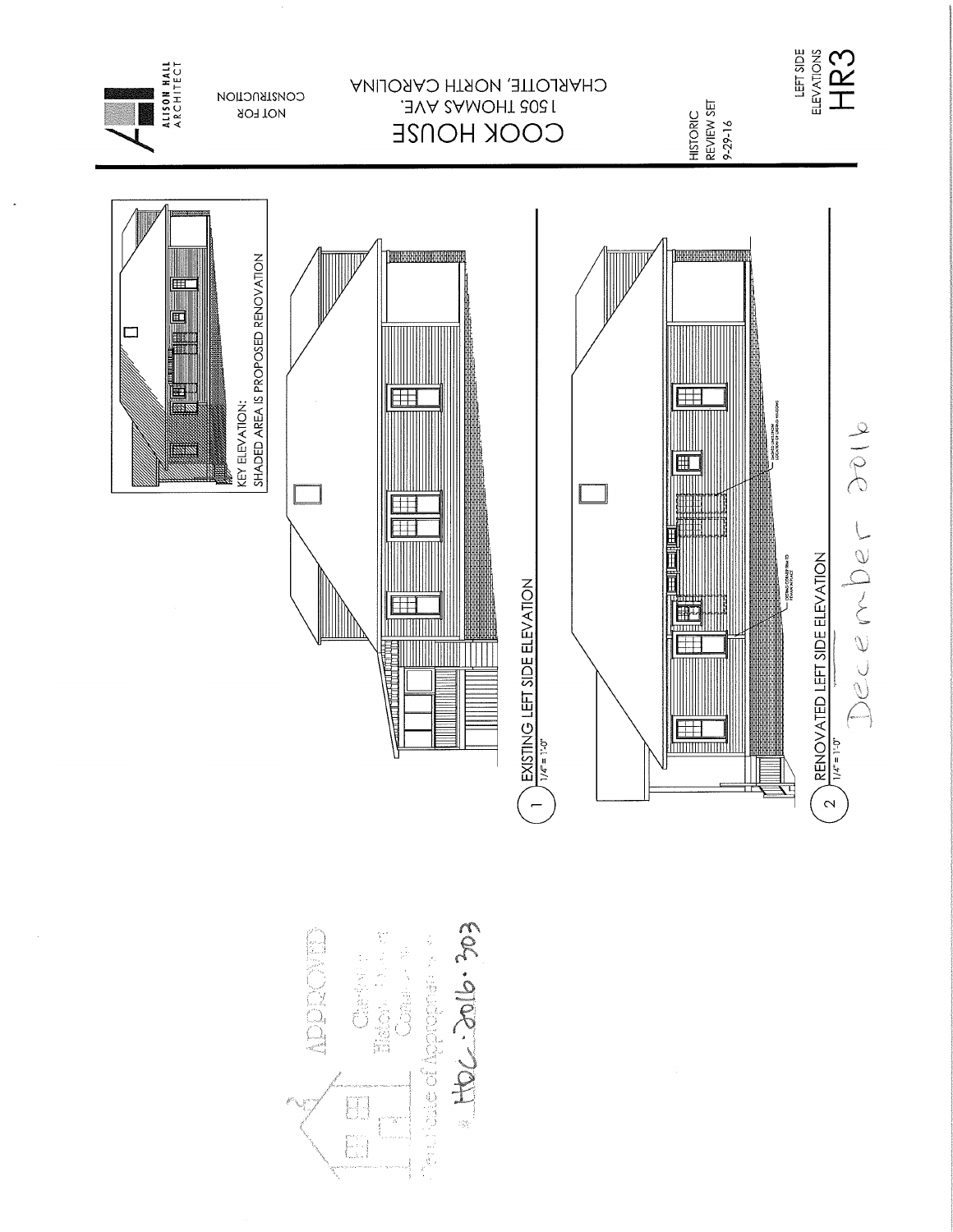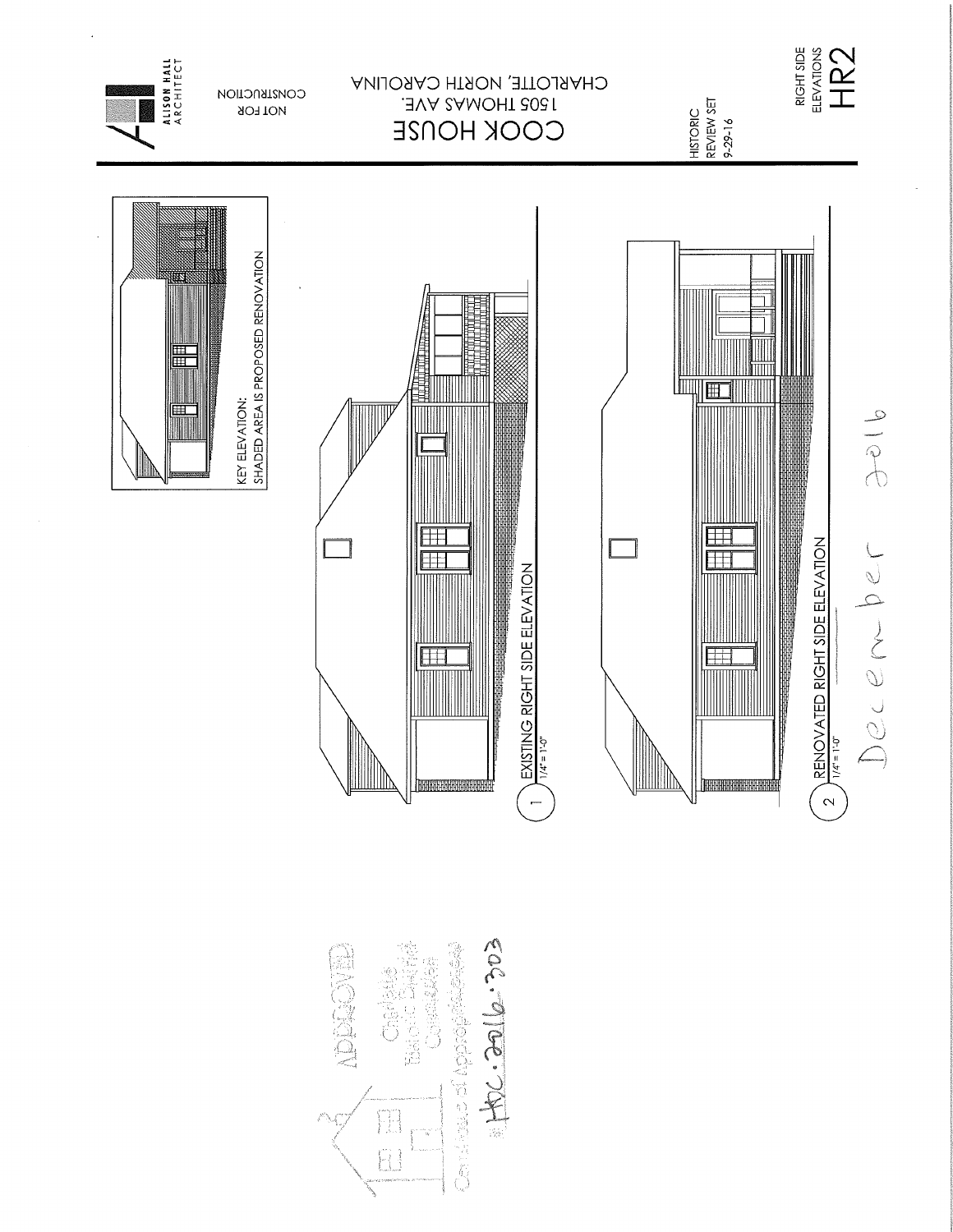